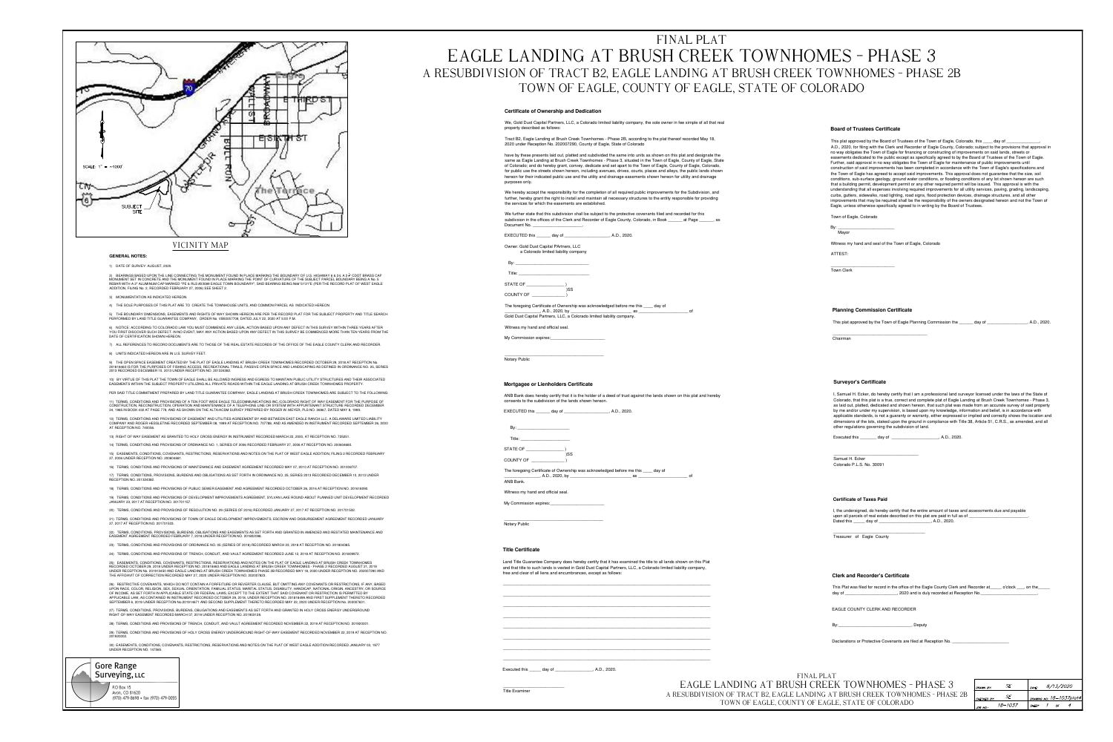

30) EASEMENTS, CONDITIONS, COVENANTS, RESTRICTIONS, RESERVATIONS AND NOTES ON THE PLAT OF WEST EAGLE ADDITION RECORDED JANUARY 03, 1977 UNDER RECEPTION NO. 147565.

![](_page_0_Picture_2.jpeg)

# FINAL PLAT EAGLE LANDING AT BRUSH CREEK TOWNHOMES - PHASE 3 A RESUBDIVISION OF TRACT B2, EAGLE LANDING AT BRUSH CREEK TOWNHOMES - PHASE 2B TOWN OF EAGLE, COUNTY OF EAGLE, STATE OF COLORADO

### **Certificate of Ownership and Dedication**

We, Gold Dust Capital Partners, LLC, a Colorado limited liability company, the sole owner in fee simple of all that real property described as follows:

Tract B2, Eagle Landing at Brush Creek Townhomes - Phase 2B, according to the plat thereof recorded May 18, 2020 under Reception No. 202007290, County of Eagle, State of Colorado

have by these presents laid out, platted and subdivided the same into units as shown on this plat and designate the same as Eagle Landing at Brush Creek Townhomes - Phase 3, situated in the Town of Eagle, County of Eagle, State of Colorado; and do hereby grant, convey, dedicate and set apart to the Town of Eagle, County of Eagle, Colorado, for public use the streets shown hereon, including avenues, drives, courts, places and alleys, the public lands shown hereon for their indicated public use and the utility and drainage easements shown hereon for utility and drainage purposes only.

We hereby accept the responsibility for the completion of all required public improvements for the Subdivision, and further, hereby grant the right to install and maintain all necessary structures to the entity responsible for providing the services for which the easements are established.

We further state that this subdivision shall be subject to the protective covenants filed and recorded for this subdivsion in the offices of the Clerk and Recorder of Eagle County, Colorado, in Book \_\_\_\_\_\_\_ at Page \_\_\_\_\_\_, as Document No.

EXECUTED this \_\_\_\_\_\_\_ day of \_\_\_\_\_\_\_\_\_\_ , A.D., 2020.

Owner: Gold Dust Capital PArtners, LLC a Colorado limited liability company

**STATE OF** 

COUNTY OF

The foregoing Certificate of Ownership was acknowledged before me this \_\_\_\_ day of , A.D., 2020, by \_\_ Gold Dust Capital Partners, LLC, a Colorado limited liability company.

Witness my hand and official seal.

My Commission expires:

**Notary Public** 

# Mortgagee or Lienholders Certificate

ANB Bank does hereby certify that it is the holder of a deed of trust against the lands shown on this plat and hereby consents to the subdivision of the lands shown hereon.

EXECUTED this \_\_\_\_\_\_\_ day of \_\_\_\_\_\_\_\_\_\_ , A.D., 2020.

STATE OF

**COUNTY OF** 

The foregoing Certificate of Ownership was acknowledged before me this \_\_\_\_\_ day of \_, A.D., 2020, by \_

ANB Bank.

Witness my hand and official seal.

My Commission expires:

Notary Public

## **Title Certificate**

Land Title Guarantee Company does hereby certify that it has examined the title to all lands shown on this Plat and that title to such lands is vested in Gold Dust Capital Partners, LLC, a Colorado limited liability company, free and clear of all liens and encumbrances, except as follows:

Executed this day of A.D., 2020.

**Title Examiner** 

EAGLE LANDING AT A RESUBDIVISION OF TRACT B2, **TOWN OF EAGLE** 

### **Board of Trustees Certificate**

This plat approved by the Board of Trustees of the Town of Eagle, Colorado, this \_\_\_\_ day of A.D., 2020, for filing with the Clerk and Recorder of Eagle County, Colorado; subject to the provisions that approval in no way obligates the Town of Eagle for financing or constructing of improvements on said lands, streets or easements dedicated to the public except as specifically agreed to by the Board of Trustees of the Town of Eagle. Further, said approval in no way obligates the Town of Eagle for maintenance of public improvements until construction of said improvements has been completed in accordance with the Town of Eagle's specifications and the Town of Eagle has agreed to accept said improvements. This approval does not guarantee that the size, soil conditions, sub-surface geology, ground water conditions, or flooding conditions of any lot shown hereon are such that a building permit, development permit or any other required permit will be issued. This approval is with the understanding that all expenses involving required improvements for all utility services, paving, grading, landscaping, curbs, gutters, sidewalks, road lighting, road signs, flood protection devices, drainage structures, and all other improvements that may be required shall be the responsibility of the owners designated hereon and not the Town of Eagle, unless otherwise specifically agreed to in writing by the Board of Trustees.

Town of Eagle, Colorado

Witness my hand and seal of the Town of Eagle, Colorado

ATTEST:

**Town Clerk** 

### **Planning Commission Certificate**

### This plat approved by the Town of Eagle Planning Commission the \_\_\_\_\_\_ day of \_\_\_\_\_\_\_\_\_\_

Chairman

### **Survevor's Certificate**

I, Samuel H. Ecker, do hereby certify that I am a professional land surveyor licensed under the laws of the State of Colorado, that this plat is a true, correct and complete plat of Eagle Landing at Brush Creek Townhomes - Phase 3, as laid out, platted, dedicated and shown hereon, that such plat was made from an accurate survey of said property by me and/or under my supervision, is based upon my knowledge, information and belief, is in accordance with applicable standards, is not a guaranty or warranty, either expressed or implied and correctly shows the location and dimensions of the lots, staked upon the ground in compliance with Title 38, Article 51, C.R.S., as amended, and all other regulations governing the subdivision of land.

Executed this \_\_\_\_\_\_\_\_ day of \_\_\_\_\_\_\_\_\_\_\_\_\_\_\_\_\_\_\_\_\_, A.D., 2020.

Samuel H. Ecker Colorado P.L.S. No. 30091

**Certificate of Taxes Paid** 

I, the undersigned, do hereby certify that the entire amount of taxes and assessments due and payable upon all parcels of real estate described on this plat are paid in full as of \_\_ Dated this day of , A.D., 2020.

Treasurer of Eagle County

# **Clerk and Recorder's Certificate**

This Plat was filed for record in the office of the Eagle County Clerk and Recorder at\_\_\_\_\_ o'clock \_\_\_, on the\_\_\_\_ day of \_\_\_\_\_\_\_\_\_\_\_\_\_\_\_\_\_\_\_\_\_\_\_, 2020 and is duly recorded at Reception No.

EAGLE COUNTY CLERK AND RECORDER

, Deputy

Declarations or Protective Covenants are filed at Reception No.

| FINAL PLAT                                        |  |
|---------------------------------------------------|--|
| BRUSH CREEK TOWNHOMES - PHASE 3                   |  |
| EAGLE LANDING AT BRUSH CREEK TOWNHOMES - PHASE 2B |  |
| E, COUNTY OF EAGLE, STATE OF COLORADO             |  |
|                                                   |  |

| DRAWN BY:   | SF       | $DATE$ :                  | 8/13/2020 |  |
|-------------|----------|---------------------------|-----------|--|
| CHECKED BY: | SE.      | DRAWING NO.: 18-1037plat4 |           |  |
| JOB NO.:    | 18–10.37 | <b>SHEET</b>              | ΩF        |  |

, A.D., 2020.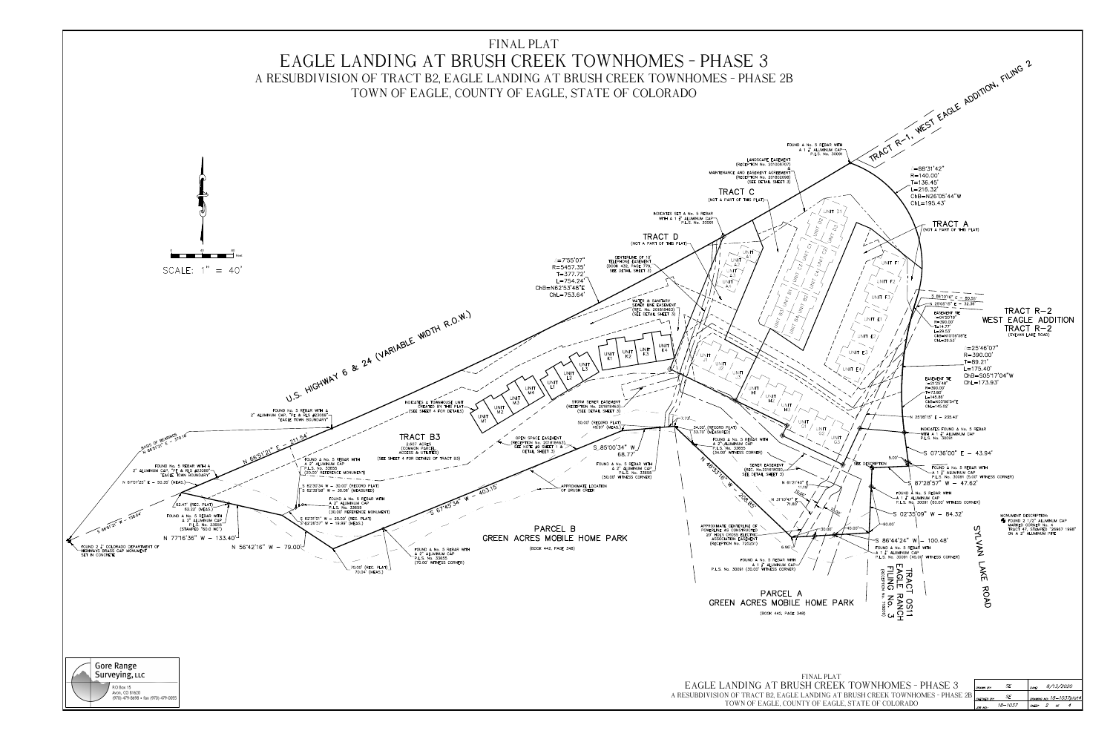![](_page_1_Figure_0.jpeg)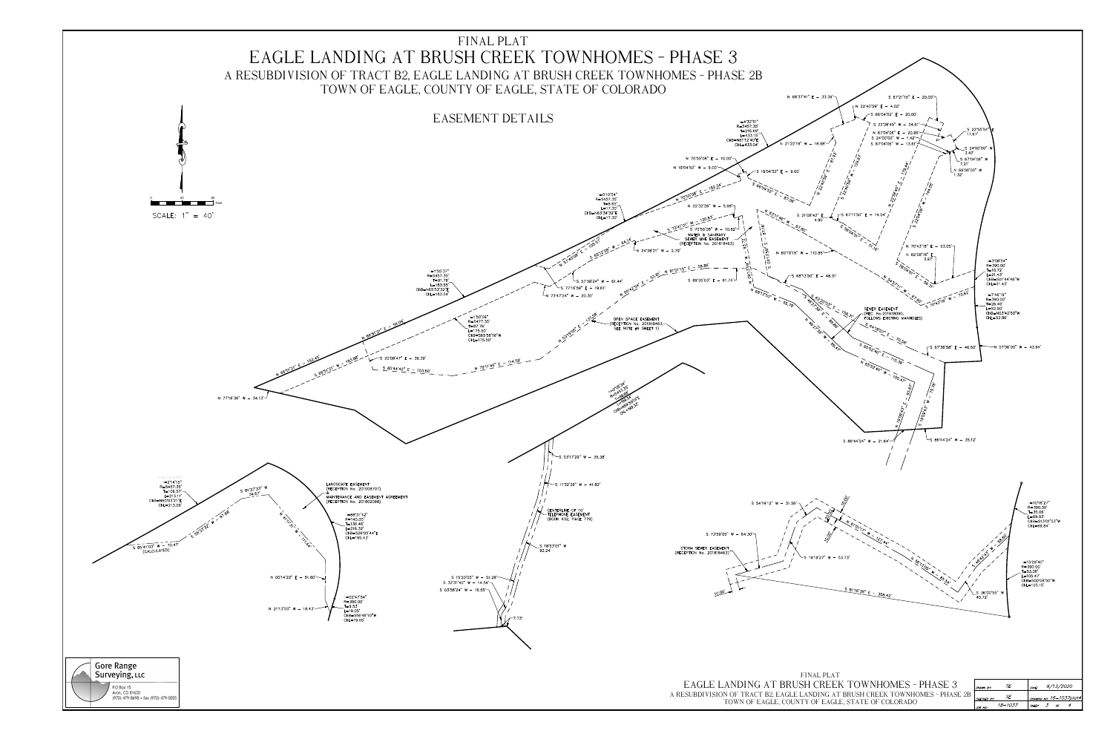![](_page_2_Figure_0.jpeg)